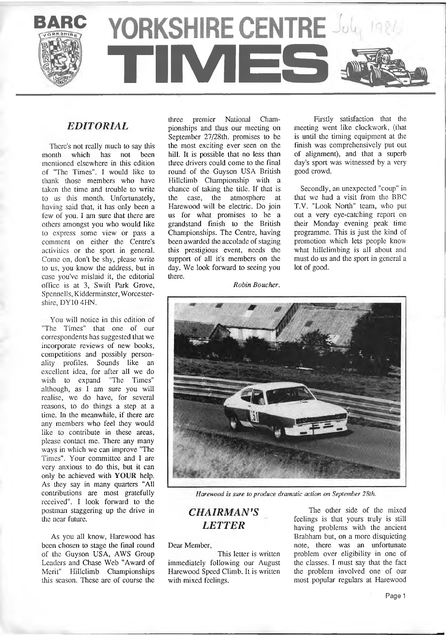YORKSHIRE CENTRE Joly 1984 **TE** 

# *EDITORIAL*

There's not really much to say this<br>bouth which has not been month which has not mentioned elsewhere in this edition of "The Times". I would like to thank those members who have taken the time and trouble to write to us this month. Unfortunately, having said that, it has only been a few of you. I am sure that there are others amongst you who would like to express some view or pass a comment on either the Centre's activities or the sport in general. Come on, don't be shy, please write to us, you know the address, but in case you've mislaid it, the editorial office is at 3, Swift Park Grove, Spennells, Kidderminster, Worcestershire, DY10 4HN.

You will notice in this edition of "The Times" that one of our correspondents has suggested that we incorporate reviews of new books, competitions and possibly personality profiles. Sounds like an excellent idea, for after all we do wish to expand "The Times" although, as I am sure you will realise, we do have, for several reasons, to do things a step at a time. In the meanwhile, if there are any members who feel they would like to contribute in these areas, please contact me. There any many ways in which we can improve "The Times". Your committee and I are very anxious to do this, but it can only be achieved with **YOUR** help. As they say in many quarters "All contributions are most gratefully received". I look forward to the postman staggering up the drive in the near future.

As you all know, Harewood has been chosen to stage the final round of the Guyson USA, AWS Group Leaders and Chase Web "Award of Merit" Hillclimb Championships this season. These are of course the three premier National Championships and thus our meeting on September 27/28th. promises to be the most exciting ever seen on the hill. It is possible that no less than three drivers could come to the final round of the Guyson USA British Hillclimb Championship with a chance of taking the title. If that is the case, the atmosphere at Harewood will be electric. Do join us for what promises to be a grandstand finish to the British Championships. The Centre, having been awarded the accolade of staging this prestigious event, needs the support of all it's members on the day. We look forward to seeing you there.

Firstly satisfaction that the meeting went like clockwork, (that is until the timing equipment at the finish was comprehensively put out of alignment), and that a superb day's sport was witnessed by a very good crowd.

Secondly, an unexpected "coup" in that we had a visit from the BBC T.V. "Look North" team, who put out a very eye-catching report on their Monday evening peak time programme. This is just the kind of promotion which lets people know what hillclimbing is all about and must do us and the sport in general a lot of good.

*Robin Boucher.*



Harewood is sure to produce dramatic action on September 28th.

# *CH AIRM AN'S LETTER*

Dear Member,

This letter is written immediately following our August Harewood Speed Climb. It is written with mixed feelings.

The other side of the mixed feelings is that yours truly is still having problems with the ancient Brabham but, on a more disquieting note, there was an unfortunate problem over eligibility in one of the classes. I must say that the fact the problem involved one of our most popular regulars at Harewood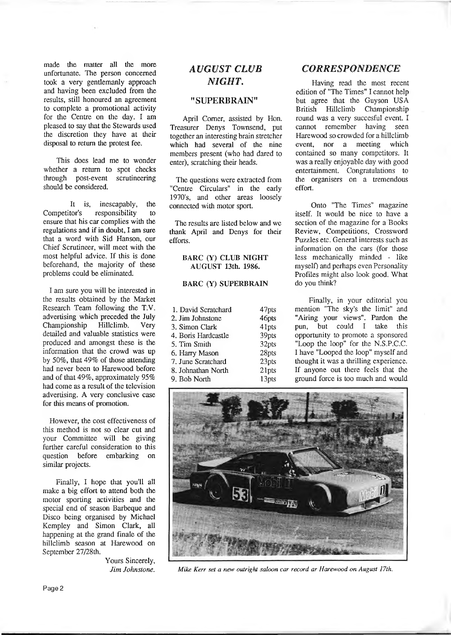made the matter all the more unfortunate. The person concerned took a very gentlemanly approach and having been excluded from the results, still honoured an agreement to complete a promotional activity for the Centre on the day. I am pleased to say that the Stewards used the discretion they have at their disposal to return the protest fee.

This does lead me to wonder whether a return to spot checks through post-event scrutineering should be considered.

It is, inescapably, the<br>Competitor's responsibility to responsibility to ensure that his car complies with the regulations and if in doubt, I am sure that a word with Sid Hanson, our Chief Scrutineer, will meet with the most helpful advice. If this is done beforehand, the majority of these problems could be eliminated.

I am sure you will be interested in the results obtained by the Market Research Team following the T.V. advertising which preceded the July<br>Championship Hillclimb. Very Championship Hillclimb. Very detailed and valuable statistics were produced and amongst these is the information that the crowd was up by 50%, that 49% of those attending had never been to Harewood before and of that 49%, approximately 95% had come as a result of the television advertising. A very conclusive case for this means of promotion.

However, the cost effectiveness of this method is not so clear cut and your Committee will be giving further careful consideration to this question before embarking on similar projects.

Finally, I hope that you'll all make a big effort to attend both the motor sporting activities and the special end of season Barbeque and Disco being organised by Michael Kempley and Simon Clark, all happening at the grand finale of the hillclimb season at Harewood on September 27/28th.

> Yours Sincerely, *J im Johnstone.*

# *AUGUST CLUB NIGHT.*

#### **"SUPERBRAIN"**

April Comer, assisted by Hon. Treasurer Denys Townsend, put together an interesting brain stretcher which had several of the nine members present (who had dared to enter), scratching their heads.

The questions were extracted from "Centre Circulars" in the early 1970's, and other areas loosely connected with motor sport.

The results are listed below and we thank April and Denys for their efforts.

#### **BARC (Y) CLUB NIGHT AUGUST 13th. 1986.**

#### **BARC (Y) SUPERBRAIN**

| 47pts |
|-------|
| 46pts |
| 41pts |
| 39pts |
| 32pts |
| 28pts |
| 23pts |
| 21pts |
| 13pts |
|       |

#### *CORRESPONDENCE*

Having read the most recent edition of "The Times" I cannot help but agree that the Guyson USA British Hillclimb Championship round was a very succesful event. I cannot remember having seen Harewood so crowded for a hillclimb event, nor a meeting which contained so many competitors. It was a really enjoyable day with good entertainment. Congratulations to the organisers on a tremendous effort.

Onto "The Times" magazine itself. It would be nice to have a section of the magazine for a Books Review, Competitions, Crossword Puzzles etc. General interests such as information on the cars (for those less mechanically minded - like myself) and perhaps even Personality Profiles might also look good. What do you think?

Finally, in your editorial you mention "The sky's the limit" and "Airing your views". Pardon the pun, but could I take this opportunity to promote a sponsored "Loop the loop" for the N.S.P.C.C. I have "Looped the loop" myself and thought it was a thrilling experience. If anyone out there feels that the ground force is too much and would



*Mike Kerr set a new outright saloon car record ar Harewood on August 17th.*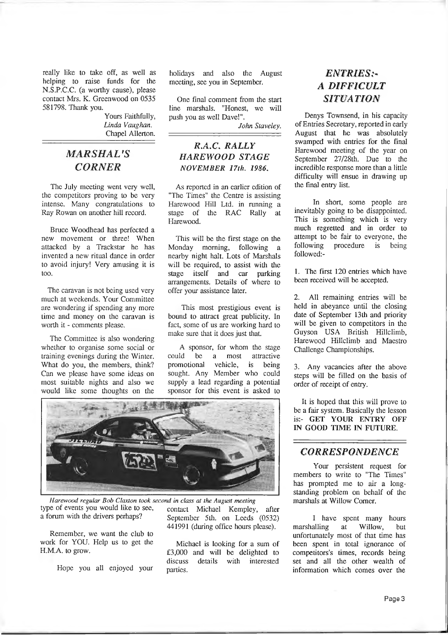really like to take off, as well as helping to raise funds for the N.S.P.C.C. (a worthy cause), please contact Mrs. K. Greenwood on 0535 581798. Thank you.

> Yours Faithfully, *L in da V aughan.* Chapel Allerton.

# *M ARSHAL'S CORNER*

The July meeting went very well, the competitors proving to be very intense. Many congratulations to Ray Rowan on another hill record.

Bruce Woodhead has perfected a new movement or three! When attacked by a Trackstar he has invented a new ritual dance in order to avoid injury! Very amusing it is too.

The caravan is not being used very much at weekends. Your Committee are wondering if spending any more time and money on the caravan is worth it - comments please.

The Committee is also wondering whether to organise some social or training evenings during the Winter. What do you, the members, think? Can we please have some ideas on most suitable nights and also we would like some thoughts on the

holidays and also the August meeting, see you in September.

One final comment from the start line marshals. "Honest, we will push you as well Dave!".

John Staveley.

# *R.A.C. RALLY HAREWOOD STAGE NOVEMBER 17 th. 1986.*

*A s* reported in an earlier edition of "The Times" the Centre is assisting Harewood Hill Ltd. in running a stage of the RAC Rally Harewood.

This will be the first stage on the Monday morning, following a nearby night halt. Lots of Marshals will be required, to assist with the<br>stage itself and car parking car parking arrangements. Details of where to offer your assistance later.

This most prestigious event is bound to attract great publicity. In fact, some of us are working hard to make sure that it does just that.

A sponsor, for whom the stage could be a most attractive promotional vehicle, is being sought. Any Member who could supply a lead regarding a potential sponsor for this event is asked to



*Harewood regular Bob Claxton took second in class at the August meeting* type of events you would like to see, a forum with the drivers perhaps?

Remember, we want the club to work for YOU. Help us to get the H.M.A. to grow.

Hope you all enjoyed your

contact Michael Kempley, after September 5th. on Leeds (0532) 441991 (during office hours please).

Michael is looking for a sum of £3,000 and will be delighted to discuss details with interested parties.

# *ENTRIES?\* A DIFFICULT SITUATION*

Denys Townsend, in his capacity of Entries Secretary, reported in early August that he was absolutely swamped with entries for the final Harewood meeting of the year on September 27/28th. Due to the incredible response more than a little difficulty will ensue in drawing up the final entry list.

In short, some people are inevitably going to be disappointed. This is something which is very much regretted and in order to attempt to be fair to everyone, the<br>following procedure is being procedure is being followed:-

1. The first 120 entries which have been received will be accepted.

2. All remaining entries will be held in abeyance until the closing date of September 13th and priority will be given to competitors in the Guyson USA British Hillclimb, Harewood Hillclimb and Maestro Challenge Championships.

3. Any vacancies after the above steps will be filled on the basis of order of receipt of entry.

It is hoped that this will prove to be a fair system. Basically the lesson is:- GET YOUR ENTRY OFF IN GOOD TIME IN FUTURE.

## *CORRESPONDENCE*

Your persistent request for members to write to "The Times" has prompted me to air a longstanding problem on behalf of the marshals at Willow Comer.

I have spent many hours<br>alling at Willow, but marshalling at Willow, but unfortunately most of that time has been spent in total ignorance of competitors's times, records being set and all the other wealth of information which comes over the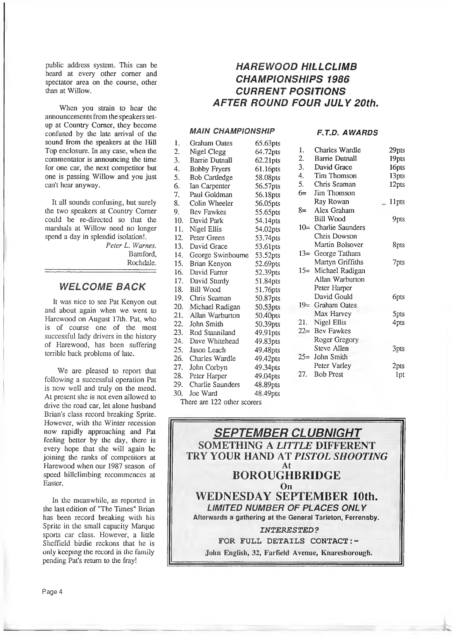public address system. This can be heard at every other corner and spectator area on the course, other than at Willow.

When you strain to hear the announcements from the speakers setup at Country Comer, they become confused by the late arrival of the sound from the speakers at the Hill Top enclosure. In any case, when the commentator is announcing the time for one car, the next competitor but one is passing Willow and you just can't hear anyway.

It all sounds confusing, but surely the two speakers at Country Corner could be re-directed so that the marshals at Willow need no longer spend a day in splendid isolation!.

*Peter L. Warnes.* Bamford,

Rochdale.

## *WELCOME BACK*

It was nice to see Pat Kenyon out and about again when we went to Harewood on August 17th. Pat, who is of course one of the most successful lady drivers in the history of Harewood, has been suffering terrible back problems of late.

We are pleased to report that following a successful operation Pat is now well and truly on the mend. At present she is not even allowed to drive the road car, let alone husband Brian's class record breaking Sprite. However, with the Winter recession now rapidly approaching and Pat feeling better by the day, there is every hope that she will again be joining the ranks of competitors at Harewood when our 1987 season of speed hillclimbing recommences at Easter.

In the meanwhile, as reported in the last edition of "The Times" Brian has been record breaking with his Sprite in the small capacity Marque sports car class. However, a little Sheffield birdie reckons that he is only keeping the record in the family pending Pat's return to the fray!

# *HAREWOOD HILLCLIMB CHAMPIONSHIPS 1986 CURRENT POSITIONS AFTER ROUND FOUR JULY 20th.*

#### *MAIN CHAMPIONSHIP*

#### RT.D , *A W A R D S*

| 1.  | <b>Graham Oates</b>  | 65.63pts    |      |                       |                  |
|-----|----------------------|-------------|------|-----------------------|------------------|
| 2.  | <b>Nigel Clegg</b>   | 64.72pts    | 1.   | Charles Wardle        | 29pts            |
| 3.  | Barrie Dutnall       | $62.21$ pts | 2.   | <b>Barrie Dutnall</b> | 19pts            |
| 4.  | <b>Bobby Fryers</b>  | 61.16pts    | 3.   | David Grace           | 16pts            |
| 5.  | <b>Bob Cartledge</b> | 58.08pts    | 4.   | Tim Thomson           | 13pts            |
| 6.  | Ian Carpenter        | 56.57pts    | 5.   | Chris Seaman          | 12pts            |
| 7.  | Paul Goldman         | 56.18pts    | $6=$ | Jim Thomson           |                  |
| 8.  | Colin Wheeler        | 56.05pts    |      | Ray Rowan             | 11pts            |
| 9.  | Bev Fawkes           | 55.65pts    | $8=$ | Alex Graham           |                  |
| 10. | David Park           | 54.14pts    |      | Bill Wood             | 9pts             |
| 11. | Nigel Ellis          | 54.02pts    |      | 10 = Charlie Saunders |                  |
| 12. | Peter Green          | 53.74pts    |      | Chris Dowson          |                  |
| 13. | David Grace          | 53.61pts    |      | Martin Bolsover       | 8pts             |
| 14. | George Swinbourne    | 53.52pts    |      | 13= George Tatham     |                  |
| 15. | Brian Kenyon         | 52.69pts    |      | Martyn Griffiths      | 7pts             |
| 16. | David Farrer         | 52.39pts    |      | 15 = Michael Radigan  |                  |
| 17. | David Sturdy         | 51.84pts    |      | Allan Warburton       |                  |
| 18. | <b>Bill Wood</b>     | 51.76pts    |      | Peter Harper          |                  |
| 19. | Chris Seaman         | 50.87pts    |      | David Gould           | 6pts             |
| 20. | Michael Radigan      | 50.53pts    |      | 19 = Graham Oates     |                  |
| 21. | Allan Warburton      | 50.40pts    |      | Max Harvey            | 5 <sub>pts</sub> |
| 22. | John Smith           | 50.39pts    | 21.  | Nigel Ellis           | 4pts             |
| 23. | Rod Stanniland       | 49.91pts    |      | 22= Bev Fawkes        |                  |
| 24. | Dave Whitehead       | 49.83pts    |      | Roger Gregory         |                  |
| 25. | Jason Leach          | 49.48pts    |      | Steve Allen           | 3pts             |
| 26. | Charles Wardle       | 49.42pts    |      | 25= John Smith        |                  |
| 27. | John Corbyn          | 49.34pts    |      | Peter Varley          | 2pts             |
| 28. | Peter Harper         | 49.04pts    | 27.  | <b>Bob Prest</b>      | 1pt              |
| 29. | Charlie Saunders     | 48.89pts    |      |                       |                  |
| 30. | Joe Ward             | 48.49pts    |      |                       |                  |

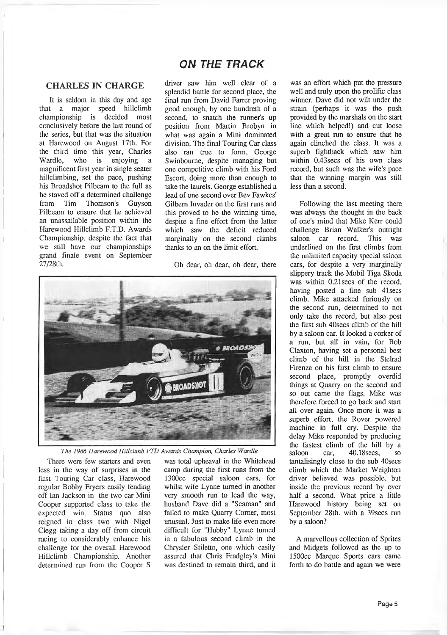# *ON THE TRACK*

## **CHARLES IN CHARGE**

It is seldom in this day and age that a major speed hillclimb championship is decided most conclusively before the last round of the series, but that was the situation at Harewood on August 17th. For the third time this year, Charles Wardle, who is enjoying a magnificent first year in single seater hillclimbing, set the pace, pushing his Broadshot Pilbeam to the full as he staved off a determined challenge from Tim Thomson's Guyson Pilbeam to ensure that he achieved an unassailable position within the Harewood Hillclimb F.T.D. Awards Championship, despite the fact that we still have our championships grand finale event on September 27/28th.

driver saw him well clear of a splendid battle for second place, the final run from David Farrer proving good enough, by one hundreth of a second, to snatch the runner's up position from Martin Brobyn in what was again a Mini dominated division. The final Touring Car class also ran true to form, George Swinboume, despite managing but one competitive climb with his Ford Escort, doing more than enough to take the laurels. George established a lead of one second over Bev Fawkes' Gilbem Invader on the first runs and this proved to be the winning time, despite a fine effort from the latter which saw the deficit reduced marginally on the second climbs thanks to an on the limit effort.

Oh dear, oh dear, oh dear, there



*The 1986 Harewood Hillclimb FTD Awards Champion, Charles Wardle*

There were few starters and even less in the way of surprises in the first Touring Car class, Harewood regular Bobby Fryers easily fending off Ian Jackson in the two car Mini Cooper supported class to take the expected win. Status quo also reigned in class two with Nigel Clegg taking a day off from circuit racing to considerably enhance his challenge for the overall Harewood Hillclimb Championship. Another determined run from the Cooper S

was total upheaval in the Whitehead camp during the first runs from the 1300cc special saloon cars, for whilst wife Lynne turned in another very smooth run to lead the way, husband Dave did a "Seaman" and failed to make Quarry Comer, most unusual. Just to make life even more difficult for "Hubby" Lynne turned in a fabulous second climb in the Chrysler Stiletto, one which easily assured that Chris Fradgley's Mini was destined to remain third, and it

was an effort which put the pressure well and truly upon the prolific class winner. Dave did not wilt under the strain (perhaps it was the push provided by the marshals on the start line which helped!) and cut loose with a great run to ensure that he again clinched the class. It was a superb fightback which saw him within 0.43secs of his own class record, but such was the wife's pace that the winning margin was still less than a second.

Following the last meeting there was always the thought in the back of one's mind that Mike Kerr could challenge Brian Walker's outright<br>saloon car record. This was saloon car record. This was underlined on the first climbs from the unlimited capacity special saloon cars, for despite a very marginally slippery track the Mobil Tiga Skoda was within 0.21 secs of the record, having posted a fine sub 41 secs climb. Mike attacked furiously on the second run, determined to not only take the record, but also post the first sub 40secs climb of the hill by a saloon car. It looked a corker of a run, but all in vain, for Bob Claxton, having set a personal best climb of the hill in the Stelrad Firenza on his first climb to ensure second place, prompdy overdid things at Quarry on the second and so out came the flags. Mike was therefore forced to go back and start all over again. Once more it was a superb effort, the Rover powered machine in full cry. Despite the delay Mike responded by producing the fastest climb of the hill by a saloon car, 40.18 secs, so tantalisingly close to the sub 40secs climb which the Market Weighton driver believed was possible, but inside the previous record by over half a second. What price a little Harewood history being set on September 28th. with a 39secs run by a saloon?

A marvellous collection of Sprites and Midgets followed as the up to 1500cc Marque Sports cars came forth to do battle and again we were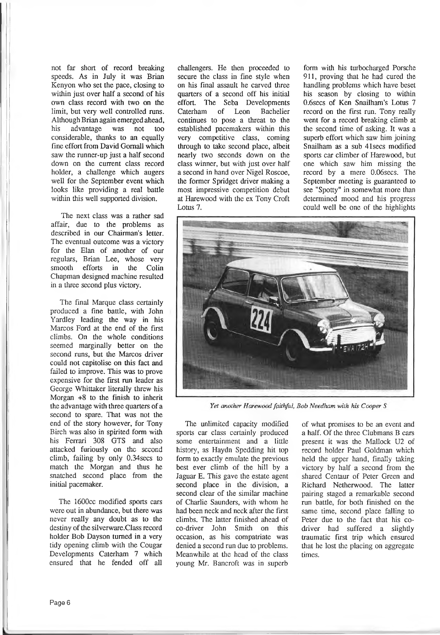not far short of record breaking speeds. As in July it was Brian Kenyon who set the pace, closing to within just over half a second of his own class record with two on the limit, but very well controlled runs. Although Brian again emerged ahead,<br>his advantage was not too was not too considerable, thanks to an equally fine effort from David Gomall which saw the runner-up just a half second down on the current class record holder, a challenge which augers well for the September event which looks like providing a real battle within this well supported division.

The next class was a rather sad affair, due to the problems as described in our Chairman's letter. The eventual outcome was a victory for the Elan of another of our regulars, Brian Lee, whose very smooth efforts in the Colin Chapman designed machine resulted in a three second plus victory.

The final Marque class certainly produced a fine battle, with John Yardley leading the way in his Marcos Ford at the end of the first climbs. On the whole conditions seemed marginally better on the second runs, but the Marcos driver could not capitolise on this fact and failed to improve. This was to prove expensive for the first run leader as George Whittaker literally threw his Morgan +8 to the finish to inherit the advantage with three quarters of a second to spare. That was not the end of the story however, for Tony Birch was also in spirited form with his Ferrari 308 GTS and also attacked furiously on the second climb, failing by only 0.34secs to match the Morgan and thus he snatched second place from the initial pacemaker.

The 1600cc modified sports cars were out in abundance, but there was never really any doubt as to the destiny of the silverware.Class record holder Bob Dayson turned in a very tidy opening climb with the Cougar Developments Caterham 7 which ensured that he fended off all

challengers. He then proceeded to secure the class in fine style when on his final assault he carved three quarters of a second off his initial effort. The Seba Developments<br>Caterham of Leon Bachelier Bachelier continues to pose a threat to the established pacemakers within this very competitive class, coming through to take second place, albeit nearly two seconds down on the class winner, but with just over half a second in hand over Nigel Roscoe, the former Spridget driver making a most impressive competition debut at Harewood with the ex Tony Croft Lotus 7.

form with his turbocharged Porsche 911, proving that he had cured the handling problems which have beset his season by closing to within 0.6secs of Ken Snailham's Lotus 7 record on the first run. Tony really went for a record breaking climb at the second time of asking. It was a superb effort which saw him joining Snailham as a sub 41secs modified sports car climber of Harewood, but one which saw him missing the record by a mere 0.06secs. The September meeting is guaranteed to see "Spotty" in somewhat more than determined mood and his progress could well be one of the highlights



Yet another Harewood faithful, Bob Needham with his Cooper S

The unlimited capacity modified sports car class certainly produced some entertainment and a little history, as Haydn Spedding hit top form to exactly emulate the previous best ever climb of the hill by a Jaguar E. This gave the estate agent second place in the division, a second clear of the similar machine of Charlie Saunders, with whom he had been neck and neck after the first climbs. The latter finished ahead of co-driver John Smith on this occasion, as his compatriate was denied a second run due to problems. Meanwhile at the head of the class young Mr. Bancroft was in superb

of what promises to be an event and a half. Of the three Clubmans B cars present it was the Mallock U2 of record holder Paul Goldman which held the upper hand, finally taking victory by half a second from the shared Centaur of Peter Green and Richard Netherwood. The latter pairing staged a remarkable second run battle, for both finished on the same time, second place falling to Peter due to the fact that his codriver had suffered a slightly traumatic first trip which ensured that he lost the placing on aggregate times.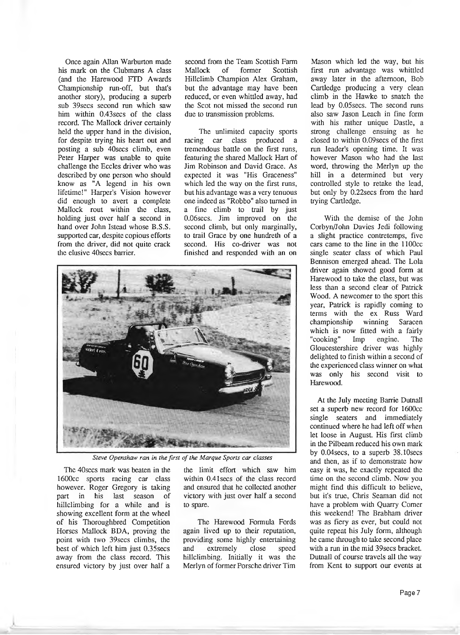Once again Allan Warburton made his mark on the Clubmans A class (and the Harewood FTD Awards Championship run-off, but that's another story), producing a superb sub 39secs second run which saw him within 0.43secs of the class record. The Mallock driver certainly held the upper hand in the division, for despite trying his heart out and posting a sub 40secs climb, even Peter Harper was unable to quite challenge the Eccles driver who was described by one person who should know as "A legend in his own lifetime!" Harper's Vision however did enough to avert a complete Mallock rout within the class, holding just over half a second in hand over John Istead whose B.S.S. supported car, despite copious efforts from the driver, did not quite crack the elusive 40secs barrier.

second from the Team Scottish Farm Mallock of former Scottish Hillclimb Champion Alex Graham, but the advantage may have been reduced, or even whittled away, had the Scot not missed the second run due to transmission problems.

The unlimited capacity sports racing car class produced a tremendous battle on the first runs, featuring the shared Mallock Hart of Jim Robinson and David Grace. As expected it was "His Graceness" which led the way on the first runs, but his advantage was a very tenuous one indeed as "Robbo" also turned in a fine climb to trail by just 0.06secs. Jim improved on the second climb, but only marginally, to trail Grace by one hundreth of a second. His co-driver was not finished and responded with an on



*Steve Openshaw ran in the first of the Marque Sports car classes*

The 40secs mark was beaten in the 1600cc sports racing car class however. Roger Gregory is taking part in his last season of hillclimbing for a while and is showing excellent form at the wheel of his Thoroughbred Competition Horses Mallock BDA, proving the point with two 39secs climbs, the best of which left him just 0.35secs away from the class record. This ensured victory by just over half a

the limit effort which saw him within 0.41 secs of the class record and ensured that he collected another victory with just over half a second to spare.

The Harewood Formula Fords again lived up to their reputation, providing some highly entertaining and extremely close speed hillclimbing. Initially it was the Merlyn of former Porsche driver Tim

Mason which led the way, but his first run advantage was whittled away later in the afternoon, Bob Cartledge producing a very clean climb in the Hawke to snatch the lead by 0.05secs. The second runs also saw Jason Leach in fine form with his rather unique Dastle, a strong challenge ensuing as he closed to within 0.09secs of the first run leader's opening time. It was however Mason who had the last word, throwing the Merlyn up the hill in a determined but very controlled style to retake the lead, but only by 0.22secs from the hard trying Cartledge.

With the demise of the John Corbyn/John Davies Jedi following a slight practice contretemps, five cars came to the line in the 1100cc single seater class of which Paul Bennison emerged ahead. The Lola driver again showed good form at Harewood to take the class, but was less than a second clear of Patrick Wood. A newcomer to the sport this year, Patrick is rapidly coming to terms with the ex Russ Ward championship winning Saracen which is now fitted with a fairly "cooking" Imp engine. The "cooking" Imp engine. The Gloucestershire driver was highly delighted to finish within a second of the experienced class winner on what was only his second visit to Harewood.

At the July meeting Barrie Dutnall set a superb new record for 1600cc single seaters and immediately continued where he had left off when let loose in August. His first climb in the Pilbeam reduced his own mark by 0.04secs, to a superb 38.10secs and then, as if to demonstrate how easy it was, he exactly repeated the time on the second climb. Now you might find this difficult to believe, but it's true, Chris Seaman did not have a problem with Quarry Comer this weekend! The Brabham driver was as fiery as ever, but could not quite repeat his July form, although he came through to take second place with a run in the mid 39secs bracket. Dutnall of course travels all the way from Kent to support our events at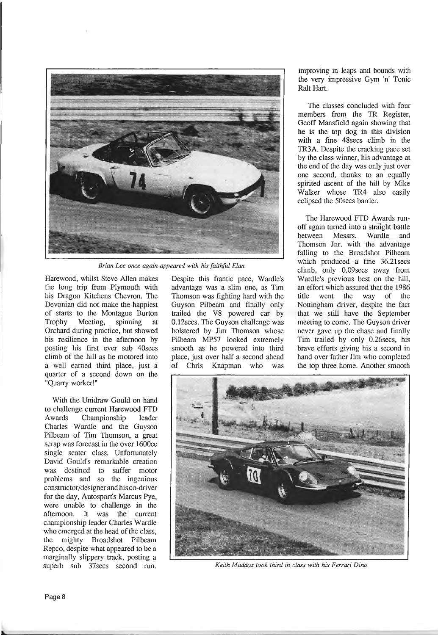

*Brian Lee once again appeared with his faithful Elan*

Harewood, whilst Steve Allen makes the long trip from Plymouth with his Dragon Kitchens Chevron. The Devonian did not make the happiest of starts to the Montague Burton Trophy Meeting, spinning at Orchard during practice, but showed his resilience in the afternoon by posting his first ever sub 40secs climb of the hill as he motored into a well earned third place, just a quarter of a second down on the "Quarry worker!"

With the Unidraw Gould on hand to challenge current Harewood FTD Awards Championship leader Charles Wardle and the Guyson Pilbeam of Tim Thomson, a great scrap was forecast in the over 1600cc single seater class. Unfortunately David Gould's remarkable creation was destined to suffer motor problems and so the ingenious constructor/designer and his co-driver for the day, Autosport's Marcus Pye, were unable to challenge in the afternoon. It was the current championship leader Charles Wardle who emerged at the head of the class, the mighty Broadshot Pilbeam Repco, despite what appeared to be a marginally slippery track, posting a

Despite this frantic pace, Wardle's advantage was a slim one, as Tim Thomson was fighting hard with the Guyson Pilbeam and Finally only trailed the V8 powered car by 0.12secs. The Guyson challenge was bolstered by Jim Thomson whose Pilbeam MP57 looked extremely smooth as he powered into third place, just over half a second ahead of Chris Knapman who was

improving in leaps and bounds with the very impressive Gym 'n' Tonic Ralt Hart.

The classes concluded with four members from the TR Register, Geoff Mansfield again showing that he is the top dog in this division with a fine 48secs climb in the TR3A. Despite the cracking pace set by the class winner, his advantage at the end of the day was only just over one second, thanks to an equally spirited ascent of the hill by Mike Walker whose TR4 also easily eclipsed the 50secs barrier.

The Harewood FTD Awards runoff again turned into a straight battle<br>between Messrs. Wardle and Wardle and Thomson Jnr. with the advantage falling to the Broadshot Pilbeam which produced a fine 36.21secs climb, only 0.09secs away from Wardle's previous best on the hill, an effort which assured that the 1986 title went the way of the Nottingham driver, despite the fact that we still have the September meeting to come. The Guyson driver never gave up the chase and finally Tim trailed by only 0.26secs, his brave efforts giving his a second in hand over father Jim who completed the top three home. Another smooth



superb sub 37secs second run. *Keith Maddox took third in class with his Ferrari Dino*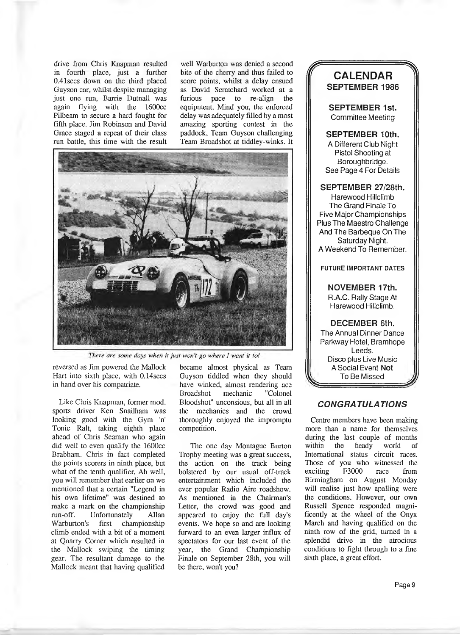drive from Chris Knapman resulted in fourth place, just a further 0.41secs down on the third placed Guyson car, whilst despite managing just one run, Barrie Dutnall was again flying with the 1600cc Pilbeam to secure a hard fought for fifth place. Jim Robinson and David Grace staged a repeat of their class run batde, this time with the result

well Warburton was denied a second bite of the cherry and thus failed to score points, whilst a delay ensued as David Scratchard worked at a<br>furious pace to re-align the furious pace to re-align equipment. Mind you, the enforced delay was adequately filled by a most amazing sporting contest in the paddock, Team Guyson challenging Team Broadshot at tiddley-winks. It



There are some days when it just won't go where I want it to!

reversed as Jim powered the Mallock Hart into sixth place, with 0.14 secs in hand over his compatriate.

Like Chris Knapman, former mod. sports driver Ken Snailham was looking good with the Gym 'n' Tonic Ralt, taking eighth place ahead of Chris Seaman who again did well to even qualify the 1600cc Brabham. Chris in fact completed the points scorers in ninth place, but what of the tenth qualifier. Ah well, you will remember that earlier on we mentioned that a certain "Legend in his own lifetime" was destined to make a mark on the championship run-off. Unfortunately Allan Warburton's first championship climb ended with a bit of a moment at Quarry Corner which resulted in the Mallock swiping the timing gear. The resultant damage to the Mallock meant that having qualified

became almost physical as Team Guyson tiddled when they should have winked, almost rendering ace<br>Broadshot mechanic "Colonel mechanic Bloodshot" unconsious, but all in all the mechanics and the crowd thoroughly enjoyed the impromptu competition.

The one day Montague Burton Trophy meeting was a great success, the action on the track being bolstered by our usual off-track entertainment which included the ever popular Radio Aire roadshow. As mentioned in the Chairman's Letter, the crowd was good and appeared to enjoy the full day's events. We hope so and are looking forward to an even larger influx of spectators for our last event of the year, the Grand Championship Finale on September 28th, you will be there, won't you?

### *r* **CALENDAR SEPTEMBER 1986**

 $\blacktriangleleft$ 

**SEPTEMBER 1st.** Committee Meeting

**SEPTEMBER 10th.** A Different Club Night Pistol Shooting at Boroughbridge. See Page 4 For Details

#### **SEPTEMBER 27/28th.**

Harewood Hillclimb The Grand Finale To Five Major Championships Plus The Maestro Challenge And The Barbeque On The Saturday Night. A Weekend To Remember.

#### **FUTURE IMPORTANT DATES**

**NOVEMBER 17th.** R.A.C. Rally Stage At

Harewood Hillclimb.

**DECEMBER 6th.** The Annual Dinner Dance Parkway Hotel, Bramhope Leeds. Disco plus Live Music ASocial Event **Not** To Be Missed

#### *CONGRATULATIONS*

Centre members have been making more than a name for themselves during the last couple of months<br>within the heady world of heady world of International status circuit races. Those of you who witnessed the exciting F3000 race from exciting F3000 race from Birmingham on August Monday will realise just how apalling were the conditions. However, our own Russell Spence responded magnificently at the wheel of the Onyx March and having qualified on the ninth row of the grid, turned in a splendid drive in the atrocious conditions to fight through to a fine sixth place, a great effort.